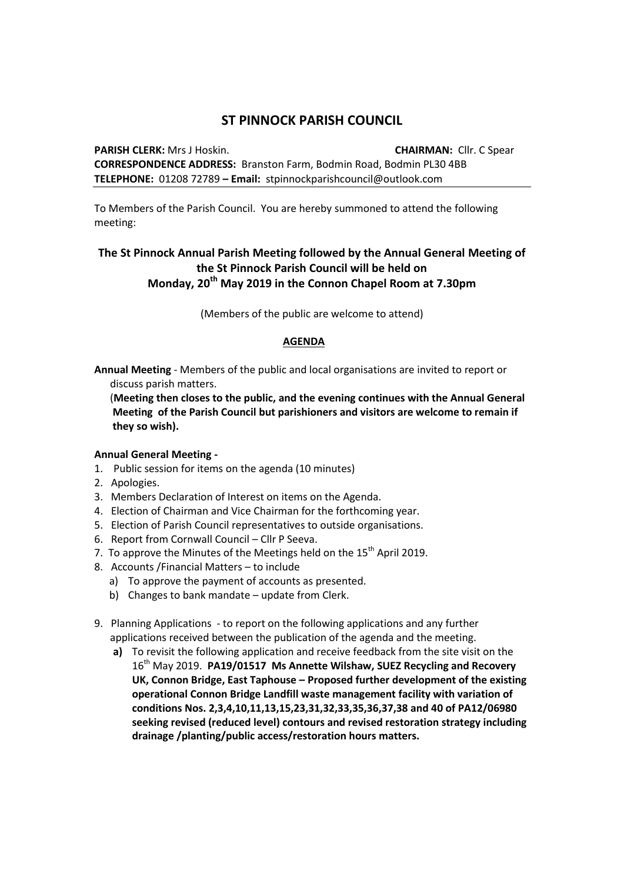## **ST PINNOCK PARISH COUNCIL**

**PARISH CLERK:** Mrs J Hoskin. **CHAIRMAN:** Cllr. C Spear **CORRESPONDENCE ADDRESS:** Branston Farm, Bodmin Road, Bodmin PL30 4BB **TELEPHONE:** 01208 72789 **– Email:** stpinnockparishcouncil@outlook.com

To Members of the Parish Council. You are hereby summoned to attend the following meeting:

## **The St Pinnock Annual Parish Meeting followed by the Annual General Meeting of the St Pinnock Parish Council will be held on Monday, 20th May 2019 in the Connon Chapel Room at 7.30pm**

(Members of the public are welcome to attend)

## **AGENDA**

**Annual Meeting** - Members of the public and local organisations are invited to report or discuss parish matters.

 (**Meeting then closes to the public, and the evening continues with the Annual General Meeting of the Parish Council but parishioners and visitors are welcome to remain if they so wish).**

## **Annual General Meeting -**

- 1. Public session for items on the agenda (10 minutes)
- 2. Apologies.
- 3. Members Declaration of Interest on items on the Agenda.
- 4. Election of Chairman and Vice Chairman for the forthcoming year.
- 5. Election of Parish Council representatives to outside organisations.
- 6. Report from Cornwall Council Cllr P Seeva.
- 7. To approve the Minutes of the Meetings held on the  $15<sup>th</sup>$  April 2019.
- 8. Accounts /Financial Matters to include
	- a) To approve the payment of accounts as presented.
	- b) Changes to bank mandate update from Clerk.
- 9. Planning Applications to report on the following applications and any further applications received between the publication of the agenda and the meeting.
	- **a)** To revisit the following application and receive feedback from the site visit on the 16th May 2019. **PA19/01517 Ms Annette Wilshaw, SUEZ Recycling and Recovery UK, Connon Bridge, East Taphouse – Proposed further development of the existing operational Connon Bridge Landfill waste management facility with variation of conditions Nos. 2,3,4,10,11,13,15,23,31,32,33,35,36,37,38 and 40 of PA12/06980 seeking revised (reduced level) contours and revised restoration strategy including drainage /planting/public access/restoration hours matters.**